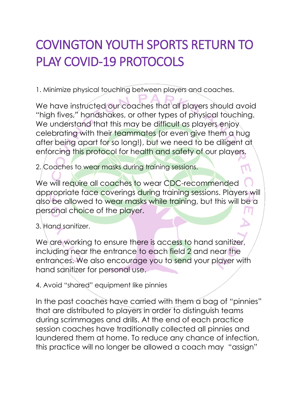## COVINGTON YOUTH SPORTS RETURN TO PLAY COVID-19 PROTOCOLS

1. Minimize physical touching between players and coaches.

We have instructed our coaches that all players should avoid "high fives," handshakes, or other types of physical touching. We understand that this may be difficult as players enjoy celebrating with their teammates (or even give them a hug after being apart for so long!), but we need to be diligent at enforcing this protocol for health and safety of our players.

2. Coaches to wear masks during training sessions.

We will require all coaches to wear CDC-recommended appropriate face coverings during training sessions. Players will also be allowed to wear masks while training, but this will be a personal choice of the player.

3. Hand sanitizer.

We are working to ensure there is access to hand sanitizer, including near the entrance to each field 2 and near the entrances. We also encourage you to send your player with hand sanitizer for personal use.

4. Avoid "shared" equipment like pinnies

In the past coaches have carried with them a bag of "pinnies" that are distributed to players in order to distinguish teams during scrimmages and drills. At the end of each practice session coaches have traditionally collected all pinnies and laundered them at home. To reduce any chance of infection, this practice will no longer be allowed a coach may "assign"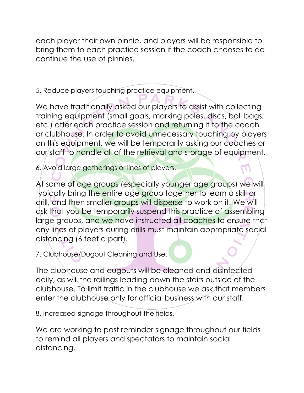each player their own pinnie, and players will be responsible to bring them to each practice session if the coach chooses to do continue the use of pinnies.

5. Reduce players touching practice equipment.

We have traditionally asked our players to assist with collecting training equipment (small goals, marking poles, discs, ball bags, etc.) after each practice session and returning it to the coach or clubhouse. In order to avoid unnecessary touching by players on this equipment, we will be temporarily asking our coaches or our staff to handle all of the retrieval and storage of equipment.

6. Avoid large gatherings or lines of players.

At some of age groups (especially younger age groups) we will typically bring the entire age group together to learn a skill or drill, and then smaller groups will disperse to work on it. We will ask that you be temporarily suspend this practice of assembling large groups, and we have instructed all coaches to ensure that any lines of players during drills must maintain appropriate social distancing (6 feet a part).

7. Clubhouse/Dugout Cleaning and Use.

The clubhouse and dugouts will be cleaned and disinfected daily, as will the railings leading down the stairs outside of the clubhouse. To limit traffic in the clubhouse we ask that members enter the clubhouse only for official business with our staff.

8. Increased signage throughout the fields.

We are working to post reminder signage throughout our fields to remind all players and spectators to maintain social distancing.